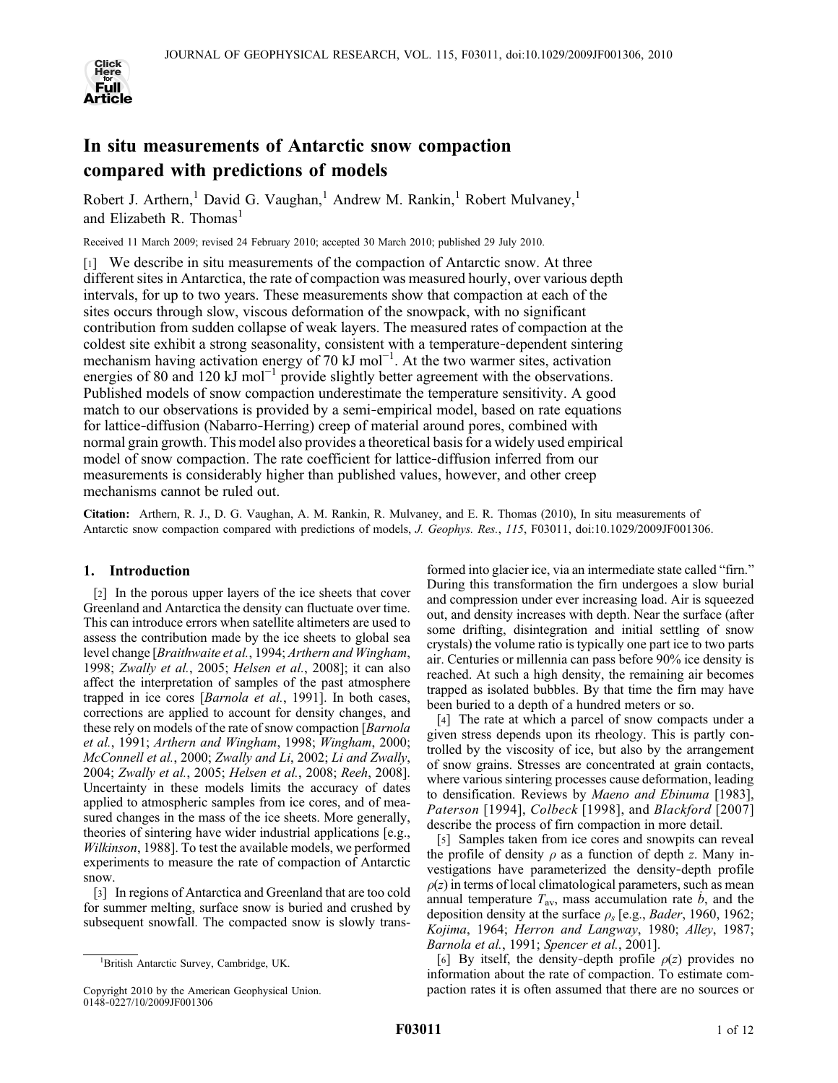

# In situ measurements of Antarctic snow compaction compared with predictions of models

Robert J. Arthern,<sup>1</sup> David G. Vaughan,<sup>1</sup> Andrew M. Rankin,<sup>1</sup> Robert Mulvaney,<sup>1</sup> and Elizabeth R. Thomas<sup>1</sup>

Received 11 March 2009; revised 24 February 2010; accepted 30 March 2010; published 29 July 2010.

[1] We describe in situ measurements of the compaction of Antarctic snow. At three different sites in Antarctica, the rate of compaction was measured hourly, over various depth intervals, for up to two years. These measurements show that compaction at each of the sites occurs through slow, viscous deformation of the snowpack, with no significant contribution from sudden collapse of weak layers. The measured rates of compaction at the coldest site exhibit a strong seasonality, consistent with a temperature‐dependent sintering mechanism having activation energy of 70 kJ mol<sup>-1</sup>. At the two warmer sites, activation energies of 80 and 120 kJ mol<sup>-1</sup> provide slightly better agreement with the observations. Published models of snow compaction underestimate the temperature sensitivity. A good match to our observations is provided by a semi-empirical model, based on rate equations for lattice-diffusion (Nabarro-Herring) creep of material around pores, combined with normal grain growth. This model also provides a theoretical basis for a widely used empirical model of snow compaction. The rate coefficient for lattice-diffusion inferred from our measurements is considerably higher than published values, however, and other creep mechanisms cannot be ruled out.

Citation: Arthern, R. J., D. G. Vaughan, A. M. Rankin, R. Mulvaney, and E. R. Thomas (2010), In situ measurements of Antarctic snow compaction compared with predictions of models, J. Geophys. Res., 115, F03011, doi:10.1029/2009JF001306.

## 1. Introduction

[2] In the porous upper layers of the ice sheets that cover Greenland and Antarctica the density can fluctuate over time. This can introduce errors when satellite altimeters are used to assess the contribution made by the ice sheets to global sea level change [Braithwaite et al., 1994; Arthern and Wingham, 1998; Zwally et al., 2005; Helsen et al., 2008]; it can also affect the interpretation of samples of the past atmosphere trapped in ice cores [Barnola et al., 1991]. In both cases, corrections are applied to account for density changes, and these rely on models of the rate of snow compaction [*Barnola* et al., 1991; Arthern and Wingham, 1998; Wingham, 2000; McConnell et al., 2000; Zwally and Li, 2002; Li and Zwally, 2004; Zwally et al., 2005; Helsen et al., 2008; Reeh, 2008]. Uncertainty in these models limits the accuracy of dates applied to atmospheric samples from ice cores, and of measured changes in the mass of the ice sheets. More generally, theories of sintering have wider industrial applications [e.g., Wilkinson, 1988]. To test the available models, we performed experiments to measure the rate of compaction of Antarctic snow.

[3] In regions of Antarctica and Greenland that are too cold for summer melting, surface snow is buried and crushed by subsequent snowfall. The compacted snow is slowly trans-

formed into glacier ice, via an intermediate state called "firn." During this transformation the firn undergoes a slow burial and compression under ever increasing load. Air is squeezed out, and density increases with depth. Near the surface (after some drifting, disintegration and initial settling of snow crystals) the volume ratio is typically one part ice to two parts air. Centuries or millennia can pass before 90% ice density is reached. At such a high density, the remaining air becomes trapped as isolated bubbles. By that time the firn may have been buried to a depth of a hundred meters or so.

[4] The rate at which a parcel of snow compacts under a given stress depends upon its rheology. This is partly controlled by the viscosity of ice, but also by the arrangement of snow grains. Stresses are concentrated at grain contacts, where various sintering processes cause deformation, leading to densification. Reviews by Maeno and Ebinuma [1983], Paterson [1994], Colbeck [1998], and Blackford [2007] describe the process of firn compaction in more detail.

[5] Samples taken from ice cores and snowpits can reveal the profile of density  $\rho$  as a function of depth z. Many investigations have parameterized the density‐depth profile  $\rho(z)$  in terms of local climatological parameters, such as mean annual temperature  $T_{\text{av}}$ , mass accumulation rate  $\dot{b}$ , and the deposition density at the surface  $\rho_s$  [e.g., *Bader*, 1960, 1962; Kojima, 1964; Herron and Langway, 1980; Alley, 1987; Barnola et al., 1991; Spencer et al., 2001].

[6] By itself, the density-depth profile  $\rho(z)$  provides no information about the rate of compaction. To estimate compaction rates it is often assumed that there are no sources or

<sup>1</sup> British Antarctic Survey, Cambridge, UK.

Copyright 2010 by the American Geophysical Union. 0148‐0227/10/2009JF001306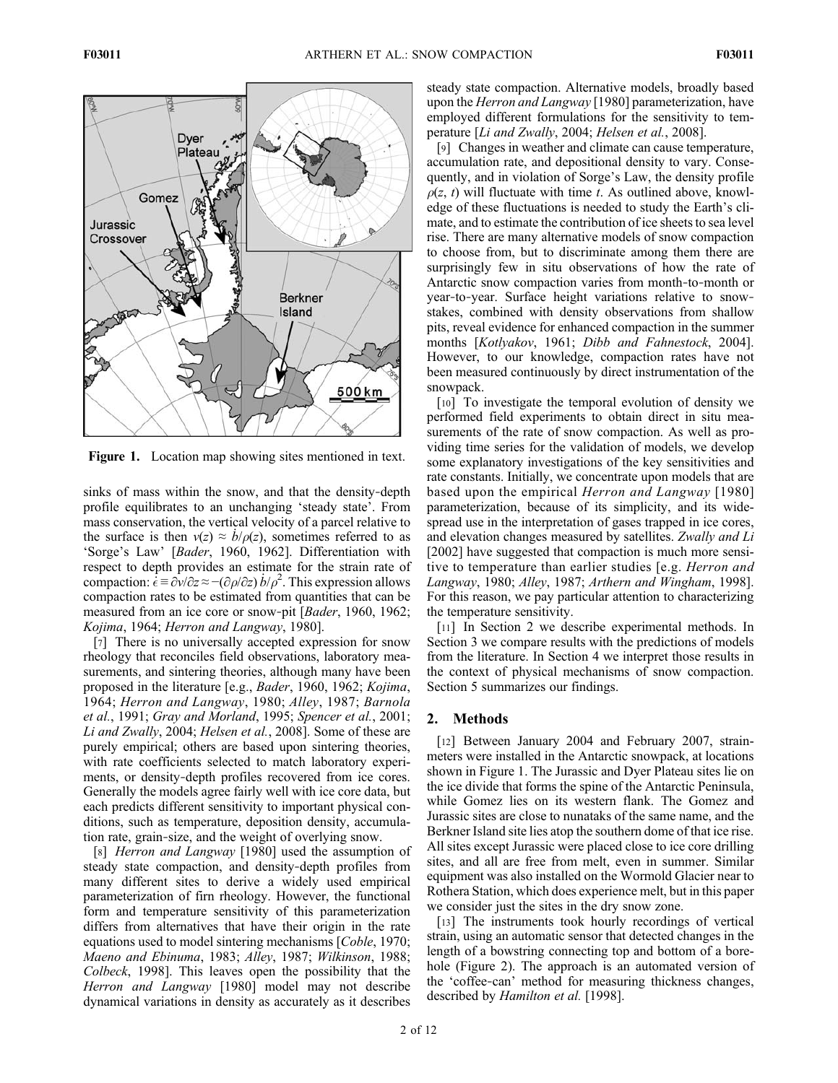

Figure 1. Location map showing sites mentioned in text.

sinks of mass within the snow, and that the density-depth profile equilibrates to an unchanging 'steady state'. From mass conservation, the vertical velocity of a parcel relative to the surface is then  $v(z) \approx \dot{b}/\rho(z)$ , sometimes referred to as 'Sorge's Law' [Bader, 1960, 1962]. Differentiation with respect to depth provides an estimate for the strain rate of compaction:  $\dot{\vec{\epsilon}} = \frac{\partial v}{\partial z} \approx -(\frac{\partial \rho}{\partial z}) \dot{b}/\rho^2$ . This expression allows compaction rates to be estimated from quantities that can be measured from an ice core or snow-pit [*Bader*, 1960, 1962; Kojima, 1964; Herron and Langway, 1980].

[7] There is no universally accepted expression for snow rheology that reconciles field observations, laboratory measurements, and sintering theories, although many have been proposed in the literature [e.g., Bader, 1960, 1962; Kojima, 1964; Herron and Langway, 1980; Alley, 1987; Barnola et al., 1991; Gray and Morland, 1995; Spencer et al., 2001; Li and Zwally, 2004; Helsen et al., 2008]. Some of these are purely empirical; others are based upon sintering theories, with rate coefficients selected to match laboratory experiments, or density‐depth profiles recovered from ice cores. Generally the models agree fairly well with ice core data, but each predicts different sensitivity to important physical conditions, such as temperature, deposition density, accumulation rate, grain‐size, and the weight of overlying snow.

[8] Herron and Langway [1980] used the assumption of steady state compaction, and density‐depth profiles from many different sites to derive a widely used empirical parameterization of firn rheology. However, the functional form and temperature sensitivity of this parameterization differs from alternatives that have their origin in the rate equations used to model sintering mechanisms [Coble, 1970; Maeno and Ebinuma, 1983; Alley, 1987; Wilkinson, 1988; Colbeck, 1998]. This leaves open the possibility that the Herron and Langway [1980] model may not describe dynamical variations in density as accurately as it describes

steady state compaction. Alternative models, broadly based upon the Herron and Langway [1980] parameterization, have employed different formulations for the sensitivity to temperature [Li and Zwally, 2004; Helsen et al., 2008].

[9] Changes in weather and climate can cause temperature, accumulation rate, and depositional density to vary. Consequently, and in violation of Sorge's Law, the density profile  $\rho(z, t)$  will fluctuate with time t. As outlined above, knowledge of these fluctuations is needed to study the Earth's climate, and to estimate the contribution of ice sheets to sea level rise. There are many alternative models of snow compaction to choose from, but to discriminate among them there are surprisingly few in situ observations of how the rate of Antarctic snow compaction varies from month‐to‐month or year-to-year. Surface height variations relative to snowstakes, combined with density observations from shallow pits, reveal evidence for enhanced compaction in the summer months [Kotlyakov, 1961; Dibb and Fahnestock, 2004]. However, to our knowledge, compaction rates have not been measured continuously by direct instrumentation of the snowpack.

[10] To investigate the temporal evolution of density we performed field experiments to obtain direct in situ measurements of the rate of snow compaction. As well as providing time series for the validation of models, we develop some explanatory investigations of the key sensitivities and rate constants. Initially, we concentrate upon models that are based upon the empirical Herron and Langway [1980] parameterization, because of its simplicity, and its widespread use in the interpretation of gases trapped in ice cores, and elevation changes measured by satellites. Zwally and Li [2002] have suggested that compaction is much more sensitive to temperature than earlier studies [e.g. *Herron and* Langway, 1980; Alley, 1987; Arthern and Wingham, 1998]. For this reason, we pay particular attention to characterizing the temperature sensitivity.

[11] In Section 2 we describe experimental methods. In Section 3 we compare results with the predictions of models from the literature. In Section 4 we interpret those results in the context of physical mechanisms of snow compaction. Section 5 summarizes our findings.

## 2. Methods

[12] Between January 2004 and February 2007, strainmeters were installed in the Antarctic snowpack, at locations shown in Figure 1. The Jurassic and Dyer Plateau sites lie on the ice divide that forms the spine of the Antarctic Peninsula, while Gomez lies on its western flank. The Gomez and Jurassic sites are close to nunataks of the same name, and the Berkner Island site lies atop the southern dome of that ice rise. All sites except Jurassic were placed close to ice core drilling sites, and all are free from melt, even in summer. Similar equipment was also installed on the Wormold Glacier near to Rothera Station, which does experience melt, but in this paper we consider just the sites in the dry snow zone.

[13] The instruments took hourly recordings of vertical strain, using an automatic sensor that detected changes in the length of a bowstring connecting top and bottom of a borehole (Figure 2). The approach is an automated version of the 'coffee‐can' method for measuring thickness changes, described by Hamilton et al. [1998].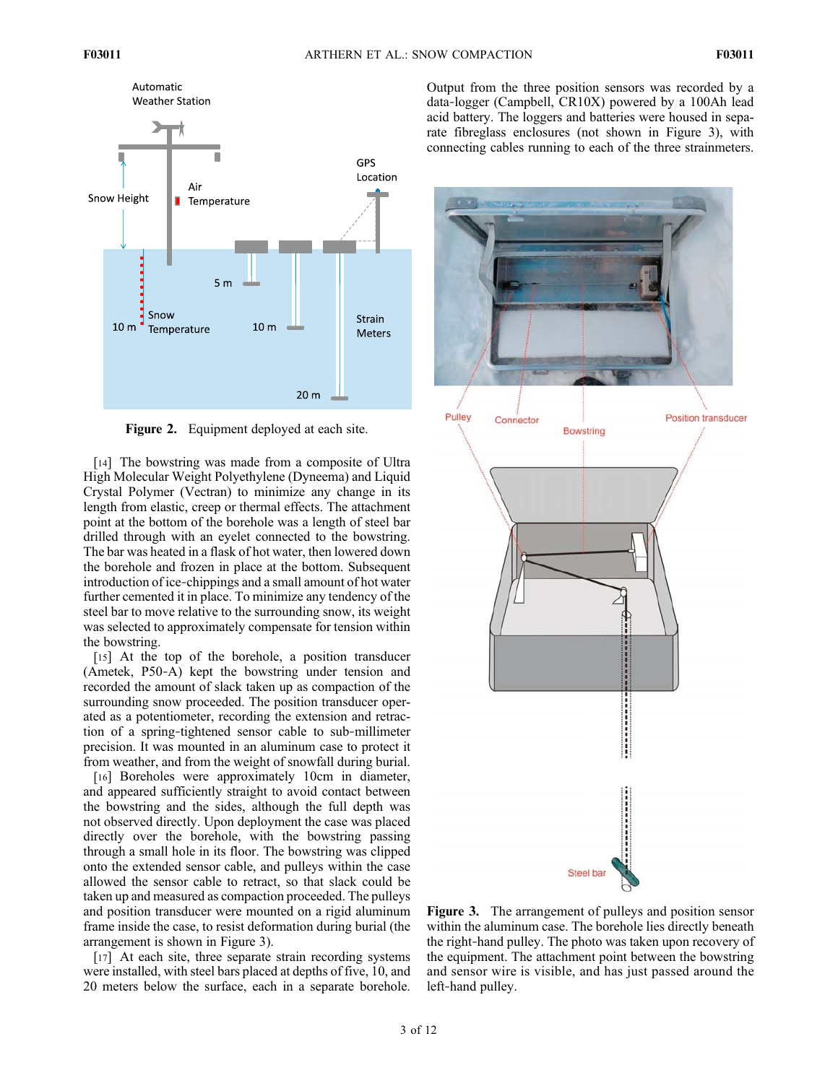

Figure 2. Equipment deployed at each site.

[14] The bowstring was made from a composite of Ultra High Molecular Weight Polyethylene (Dyneema) and Liquid Crystal Polymer (Vectran) to minimize any change in its length from elastic, creep or thermal effects. The attachment point at the bottom of the borehole was a length of steel bar drilled through with an eyelet connected to the bowstring. The bar was heated in a flask of hot water, then lowered down the borehole and frozen in place at the bottom. Subsequent introduction of ice-chippings and a small amount of hot water further cemented it in place. To minimize any tendency of the steel bar to move relative to the surrounding snow, its weight was selected to approximately compensate for tension within the bowstring.

[15] At the top of the borehole, a position transducer (Ametek, P50‐A) kept the bowstring under tension and recorded the amount of slack taken up as compaction of the surrounding snow proceeded. The position transducer operated as a potentiometer, recording the extension and retraction of a spring‐tightened sensor cable to sub‐millimeter precision. It was mounted in an aluminum case to protect it from weather, and from the weight of snowfall during burial.

[16] Boreholes were approximately 10cm in diameter, and appeared sufficiently straight to avoid contact between the bowstring and the sides, although the full depth was not observed directly. Upon deployment the case was placed directly over the borehole, with the bowstring passing through a small hole in its floor. The bowstring was clipped onto the extended sensor cable, and pulleys within the case allowed the sensor cable to retract, so that slack could be taken up and measured as compaction proceeded. The pulleys and position transducer were mounted on a rigid aluminum frame inside the case, to resist deformation during burial (the arrangement is shown in Figure 3).

[17] At each site, three separate strain recording systems were installed, with steel bars placed at depths of five, 10, and 20 meters below the surface, each in a separate borehole. Output from the three position sensors was recorded by a data‐logger (Campbell, CR10X) powered by a 100Ah lead acid battery. The loggers and batteries were housed in separate fibreglass enclosures (not shown in Figure 3), with connecting cables running to each of the three strainmeters.



Figure 3. The arrangement of pulleys and position sensor within the aluminum case. The borehole lies directly beneath the right‐hand pulley. The photo was taken upon recovery of the equipment. The attachment point between the bowstring and sensor wire is visible, and has just passed around the left‐hand pulley.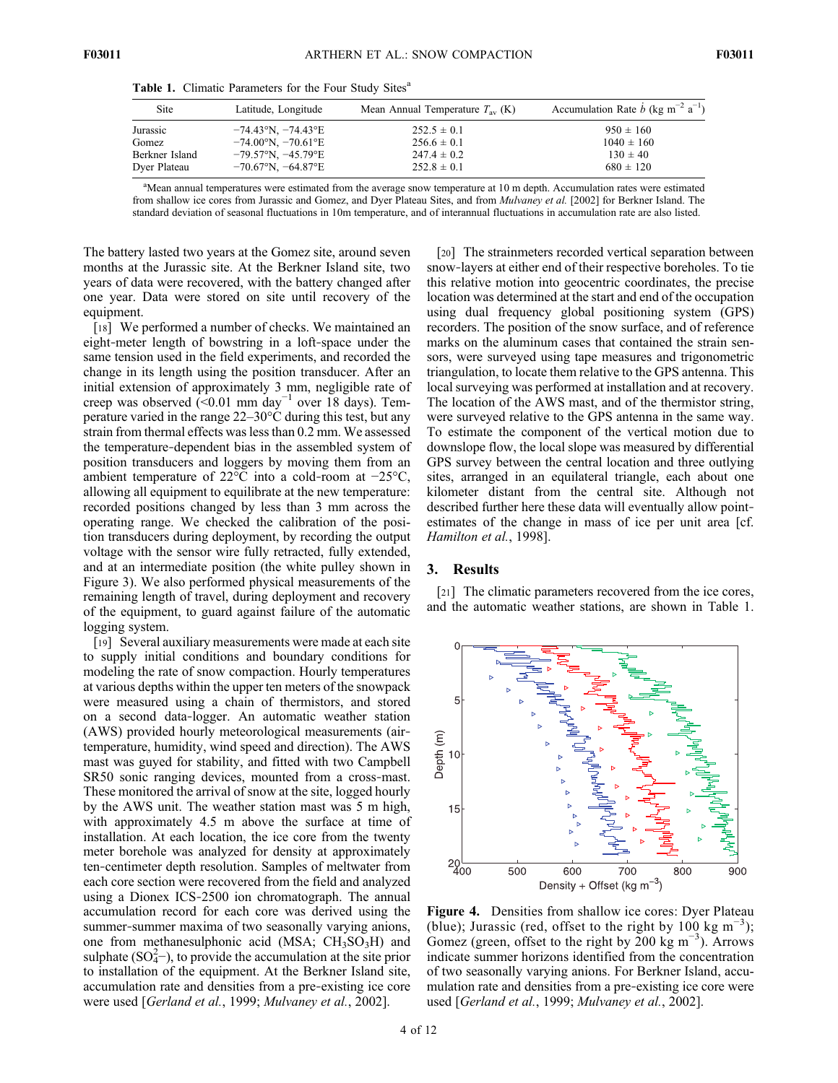| Site           | Latitude, Longitude                    | Mean Annual Temperature $T_{av}$ (K) | Accumulation Rate $\dot{b}$ (kg m <sup>-2</sup> a <sup>-1</sup> ) |
|----------------|----------------------------------------|--------------------------------------|-------------------------------------------------------------------|
| Jurassic       | $-74.43^{\circ}N$ , $-74.43^{\circ}E$  | $252.5 \pm 0.1$                      | $950 \pm 160$                                                     |
| Gomez          | $-74.00\text{°N}, -70.61\text{°E}$     | $256.6 \pm 0.1$                      | $1040 \pm 160$                                                    |
| Berkner Island | $-79.57^{\circ}N$ , $-45.79^{\circ}E$  | $247.4 \pm 0.2$                      | $130 \pm 40$                                                      |
| Dyer Plateau   | $-70.67^{\circ}$ N, $-64.87^{\circ}$ E | $252.8 \pm 0.1$                      | $680 \pm 120$                                                     |

Table 1. Climatic Parameters for the Four Study Sites<sup>a</sup>

<sup>a</sup>Mean annual temperatures were estimated from the average snow temperature at 10 m depth. Accumulation rates were estimated from shallow ice cores from Jurassic and Gomez, and Dyer Plateau Sites, and from Mulvaney et al. [2002] for Berkner Island. The standard deviation of seasonal fluctuations in 10m temperature, and of interannual fluctuations in accumulation rate are also listed.

The battery lasted two years at the Gomez site, around seven months at the Jurassic site. At the Berkner Island site, two years of data were recovered, with the battery changed after one year. Data were stored on site until recovery of the equipment.

[18] We performed a number of checks. We maintained an eight‐meter length of bowstring in a loft‐space under the same tension used in the field experiments, and recorded the change in its length using the position transducer. After an initial extension of approximately 3 mm, negligible rate of creep was observed (<0.01 mm day<sup>-1</sup> over 18 days). Temperature varied in the range 22–30°C during this test, but any strain from thermal effects was less than 0.2 mm. We assessed the temperature‐dependent bias in the assembled system of position transducers and loggers by moving them from an ambient temperature of 22°C into a cold‐room at −25°C, allowing all equipment to equilibrate at the new temperature: recorded positions changed by less than 3 mm across the operating range. We checked the calibration of the position transducers during deployment, by recording the output voltage with the sensor wire fully retracted, fully extended, and at an intermediate position (the white pulley shown in Figure 3). We also performed physical measurements of the remaining length of travel, during deployment and recovery of the equipment, to guard against failure of the automatic logging system.

[19] Several auxiliary measurements were made at each site to supply initial conditions and boundary conditions for modeling the rate of snow compaction. Hourly temperatures at various depths within the upper ten meters of the snowpack were measured using a chain of thermistors, and stored on a second data‐logger. An automatic weather station (AWS) provided hourly meteorological measurements (air‐ temperature, humidity, wind speed and direction). The AWS mast was guyed for stability, and fitted with two Campbell SR50 sonic ranging devices, mounted from a cross-mast. These monitored the arrival of snow at the site, logged hourly by the AWS unit. The weather station mast was 5 m high, with approximately 4.5 m above the surface at time of installation. At each location, the ice core from the twenty meter borehole was analyzed for density at approximately ten‐centimeter depth resolution. Samples of meltwater from each core section were recovered from the field and analyzed using a Dionex ICS‐2500 ion chromatograph. The annual accumulation record for each core was derived using the summer-summer maxima of two seasonally varying anions, one from methanesulphonic acid (MSA;  $CH<sub>3</sub>SO<sub>3</sub>H$ ) and sulphate  $(SO_4^2$ ), to provide the accumulation at the site prior to installation of the equipment. At the Berkner Island site, accumulation rate and densities from a pre‐existing ice core were used [Gerland et al., 1999; Mulvaney et al., 2002].

[20] The strainmeters recorded vertical separation between snow‐layers at either end of their respective boreholes. To tie this relative motion into geocentric coordinates, the precise location was determined at the start and end of the occupation using dual frequency global positioning system (GPS) recorders. The position of the snow surface, and of reference marks on the aluminum cases that contained the strain sensors, were surveyed using tape measures and trigonometric triangulation, to locate them relative to the GPS antenna. This local surveying was performed at installation and at recovery. The location of the AWS mast, and of the thermistor string, were surveyed relative to the GPS antenna in the same way. To estimate the component of the vertical motion due to downslope flow, the local slope was measured by differential GPS survey between the central location and three outlying sites, arranged in an equilateral triangle, each about one kilometer distant from the central site. Although not described further here these data will eventually allow point‐ estimates of the change in mass of ice per unit area [cf. Hamilton et al., 1998].

#### 3. Results

[21] The climatic parameters recovered from the ice cores, and the automatic weather stations, are shown in Table 1.



Figure 4. Densities from shallow ice cores: Dyer Plateau (blue); Jurassic (red, offset to the right by 100 kg m<sup>-3</sup>); Gomez (green, offset to the right by 200 kg m<sup>-3</sup>). Arrows indicate summer horizons identified from the concentration of two seasonally varying anions. For Berkner Island, accumulation rate and densities from a pre‐existing ice core were used [Gerland et al., 1999; Mulvaney et al., 2002].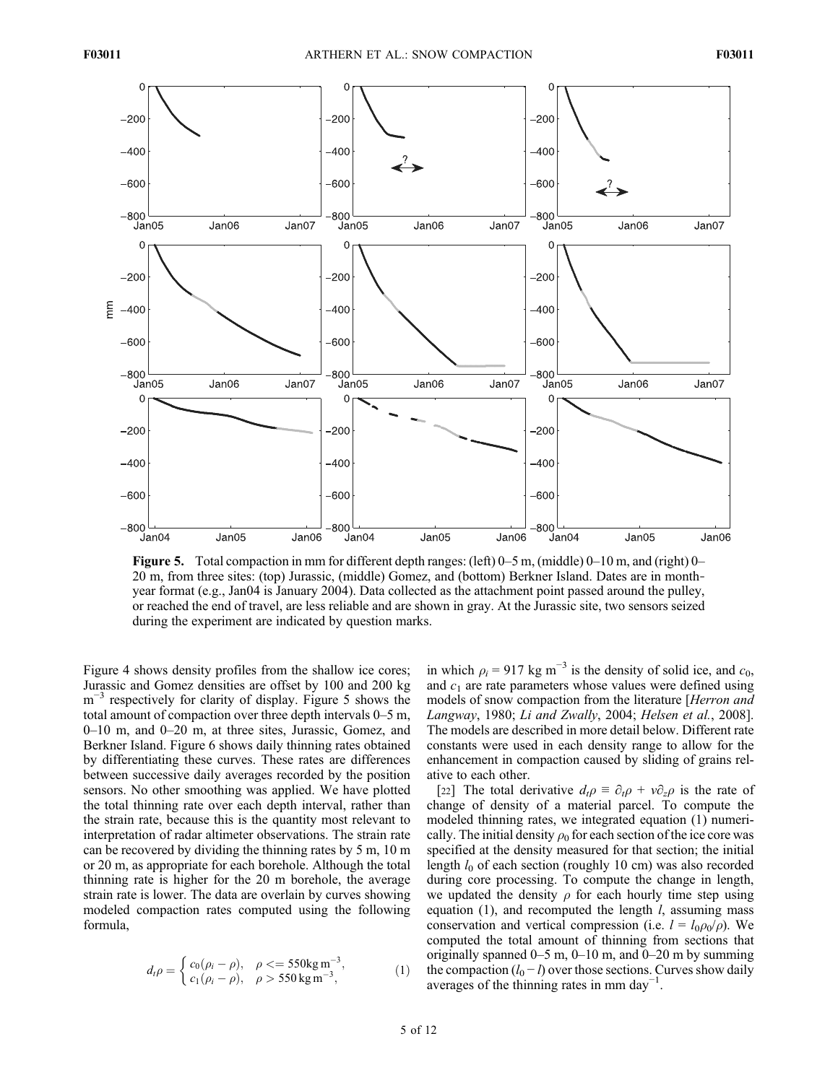

Figure 5. Total compaction in mm for different depth ranges: (left) 0–5 m, (middle) 0–10 m, and (right) 0– 20 m, from three sites: (top) Jurassic, (middle) Gomez, and (bottom) Berkner Island. Dates are in month‐ year format (e.g., Jan04 is January 2004). Data collected as the attachment point passed around the pulley, or reached the end of travel, are less reliable and are shown in gray. At the Jurassic site, two sensors seized during the experiment are indicated by question marks.

Figure 4 shows density profiles from the shallow ice cores; Jurassic and Gomez densities are offset by 100 and 200 kg m<sup>-3</sup> respectively for clarity of display. Figure 5 shows the total amount of compaction over three depth intervals 0–5 m, 0–10 m, and 0–20 m, at three sites, Jurassic, Gomez, and Berkner Island. Figure 6 shows daily thinning rates obtained by differentiating these curves. These rates are differences between successive daily averages recorded by the position sensors. No other smoothing was applied. We have plotted the total thinning rate over each depth interval, rather than the strain rate, because this is the quantity most relevant to interpretation of radar altimeter observations. The strain rate can be recovered by dividing the thinning rates by 5 m, 10 m or 20 m, as appropriate for each borehole. Although the total thinning rate is higher for the 20 m borehole, the average strain rate is lower. The data are overlain by curves showing modeled compaction rates computed using the following formula,

$$
d_t \rho = \begin{cases} c_0(\rho_i - \rho), & \rho < = 550 \text{kg m}^{-3}, \\ c_1(\rho_i - \rho), & \rho > 550 \text{kg m}^{-3}, \end{cases}
$$
 (1)

in which  $\rho_i = 917 \text{ kg m}^{-3}$  is the density of solid ice, and  $c_0$ , and  $c_1$  are rate parameters whose values were defined using models of snow compaction from the literature [Herron and Langway, 1980; Li and Zwally, 2004; Helsen et al., 2008]. The models are described in more detail below. Different rate constants were used in each density range to allow for the enhancement in compaction caused by sliding of grains relative to each other.

[22] The total derivative  $d_t \rho = \partial_t \rho + v \partial_z \rho$  is the rate of change of density of a material parcel. To compute the modeled thinning rates, we integrated equation (1) numerically. The initial density  $\rho_0$  for each section of the ice core was specified at the density measured for that section; the initial length  $l_0$  of each section (roughly 10 cm) was also recorded during core processing. To compute the change in length, we updated the density  $\rho$  for each hourly time step using equation  $(1)$ , and recomputed the length  $l$ , assuming mass conservation and vertical compression (i.e.  $l = l_0 \rho_0 / \rho$ ). We computed the total amount of thinning from sections that originally spanned  $0-5$  m,  $0-10$  m, and  $0-20$  m by summing the compaction  $(l_0 - l)$  over those sections. Curves show daily averages of the thinning rates in mm day<sup>-1</sup>.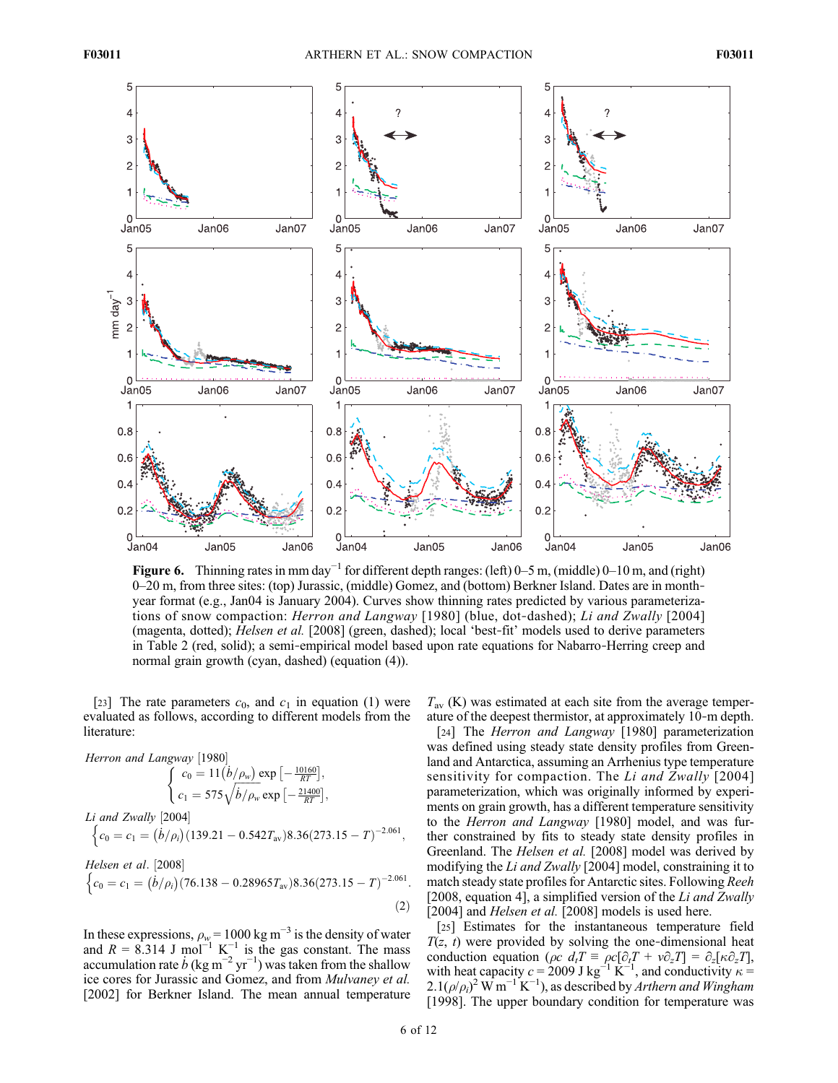

Figure 6. Thinning rates in mm day<sup>-1</sup> for different depth ranges: (left) 0–5 m, (middle) 0–10 m, and (right) 0–20 m, from three sites: (top) Jurassic, (middle) Gomez, and (bottom) Berkner Island. Dates are in month‐ year format (e.g., Jan04 is January 2004). Curves show thinning rates predicted by various parameterizations of snow compaction: Herron and Langway [1980] (blue, dot-dashed); Li and Zwally [2004] (magenta, dotted); Helsen et al. [2008] (green, dashed); local 'best‐fit' models used to derive parameters in Table 2 (red, solid); a semi‐empirical model based upon rate equations for Nabarro‐Herring creep and normal grain growth (cyan, dashed) (equation (4)).

[23] The rate parameters  $c_0$ , and  $c_1$  in equation (1) were evaluated as follows, according to different models from the literature:

Herron and Langway [1980]  $c_0 = 11 \left(\frac{\dot{b}}{\rho_w}\right) \exp\left[-\frac{10160}{RT}\right],$  $c_1 = 575 \sqrt{\frac{b}{\rho_w}}$  $\exp\left[-\frac{21400}{RT}\right],$  $\sqrt{ }$ Li and Zwally [2004]

$$
\left\{c_0=c_1=(\dot{b}/\rho_i)(139.21-0.542T_{\rm av})8.36(273.15-T)^{-2.061},\right\}
$$

Helsen et al. [2008]  
\n
$$
\begin{cases}\nc_0 = c_1 = (\dot{b}/\rho_i)(76.138 - 0.28965T_{av})8.36(273.15 - T)^{-2.061}.\n\end{cases}
$$
\n(2)

In these expressions,  $\rho_w = 1000 \text{ kg m}^{-3}$  is the density of water and  $R = 8.314$  J mol<sup>-1</sup> K<sup>-1</sup> is the gas constant. The mass accumulation rate  $\dot{b}$  (kg m<sup>-2</sup> yr<sup>-1</sup>) was taken from the shallow ice cores for Jurassic and Gomez, and from Mulvaney et al. [2002] for Berkner Island. The mean annual temperature

 $T_{\text{av}}$  (K) was estimated at each site from the average temperature of the deepest thermistor, at approximately 10‐m depth.

[24] The *Herron and Langway* [1980] parameterization was defined using steady state density profiles from Greenland and Antarctica, assuming an Arrhenius type temperature sensitivity for compaction. The Li and Zwally [2004] parameterization, which was originally informed by experiments on grain growth, has a different temperature sensitivity to the Herron and Langway [1980] model, and was further constrained by fits to steady state density profiles in Greenland. The Helsen et al. [2008] model was derived by modifying the Li and Zwally [2004] model, constraining it to match steady state profiles for Antarctic sites. Following Reeh [2008, equation 4], a simplified version of the Li and Zwally [2004] and *Helsen et al.* [2008] models is used here.

[25] Estimates for the instantaneous temperature field  $T(z, t)$  were provided by solving the one-dimensional heat conduction equation ( $\rho c$   $d_tT \equiv \rho c[\partial_t T + v \partial_z T] = \partial_z [\kappa \partial_z T]$ , with heat capacity  $c = 2009$  J kg<sup>-1</sup> K<sup>-1</sup>, and conductivity  $\kappa =$  $2.1(\rho/\rho_i)^2$  W m<sup>-1</sup> K<sup>-1</sup>), as described by Arthern and Wingham [1998]. The upper boundary condition for temperature was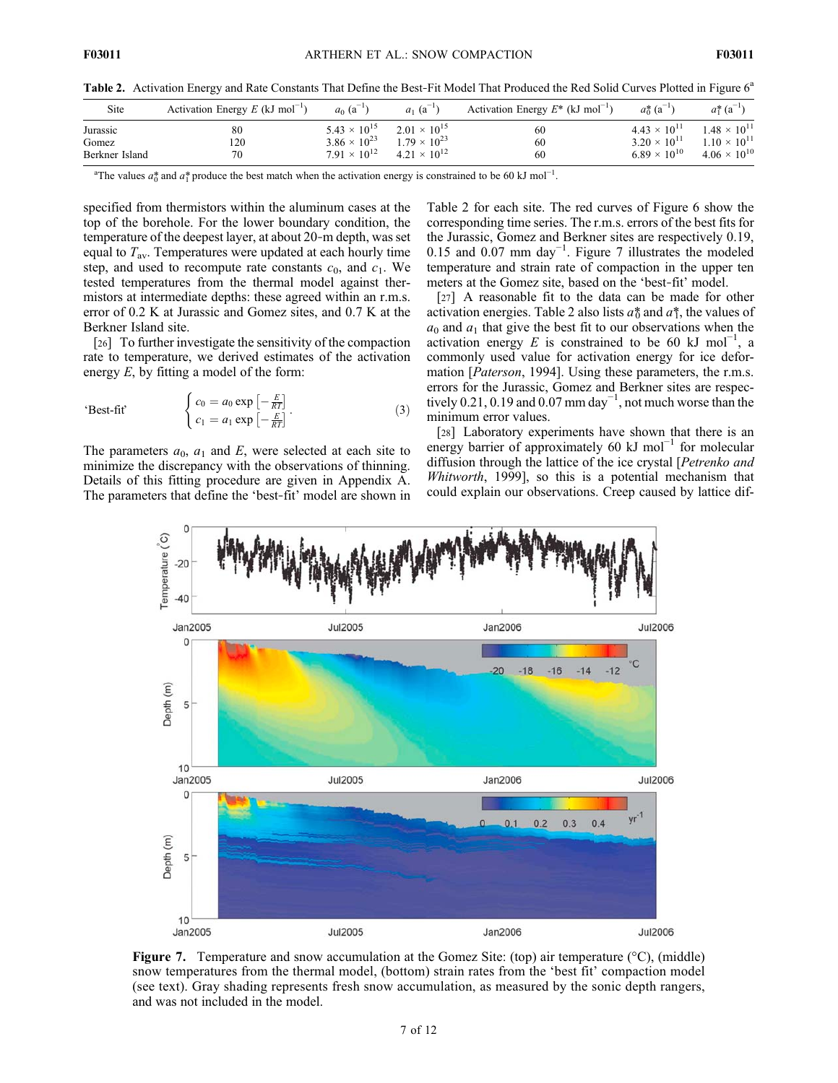Table 2. Activation Energy and Rate Constants That Define the Best-Fit Model That Produced the Red Solid Curves Plotted in Figure 6<sup>a</sup>

| Site                                | Activation Energy $E$ (kJ mol <sup>-1</sup> ) | $a_0$ (a <sup>-1</sup> )                                                | $a_1$ (a <sup>-1</sup> )                                                | Activation Energy $E^*$ (kJ mol <sup>-1</sup> ) | $a_0^*$ (a <sup>-1</sup> )                                              | $a_1^*$ (a <sup>-1</sup> )                                              |
|-------------------------------------|-----------------------------------------------|-------------------------------------------------------------------------|-------------------------------------------------------------------------|-------------------------------------------------|-------------------------------------------------------------------------|-------------------------------------------------------------------------|
| Jurassic<br>Gomez<br>Berkner Island | 80<br>120<br>70                               | $5.43 \times 10^{15}$<br>$3.86 \times 10^{23}$<br>$7.91 \times 10^{12}$ | $2.01 \times 10^{15}$<br>$1.79 \times 10^{23}$<br>$4.21 \times 10^{12}$ | 60<br>60<br>60                                  | $4.43 \times 10^{11}$<br>$3.20 \times 10^{11}$<br>$6.89 \times 10^{10}$ | $1.48 \times 10^{11}$<br>$1.10 \times 10^{11}$<br>$4.06 \times 10^{10}$ |
|                                     |                                               |                                                                         |                                                                         |                                                 |                                                                         |                                                                         |

<sup>a</sup>The values  $a_0^*$  and  $a_1^*$  produce the best match when the activation energy is constrained to be 60 kJ mol<sup>-1</sup>.

specified from thermistors within the aluminum cases at the top of the borehole. For the lower boundary condition, the temperature of the deepest layer, at about 20‐m depth, was set equal to  $T_{\text{av}}$ . Temperatures were updated at each hourly time step, and used to recompute rate constants  $c_0$ , and  $c_1$ . We tested temperatures from the thermal model against thermistors at intermediate depths: these agreed within an r.m.s. error of 0.2 K at Jurassic and Gomez sites, and 0.7 K at the Berkner Island site.

[26] To further investigate the sensitivity of the compaction rate to temperature, we derived estimates of the activation energy  $E$ , by fitting a model of the form:

$$
\text{`Best-fit'} \qquad \begin{cases} c_0 = a_0 \exp\left[-\frac{E}{RT}\right] \\ c_1 = a_1 \exp\left[-\frac{E}{RT}\right] \end{cases} \tag{3}
$$

The parameters  $a_0$ ,  $a_1$  and E, were selected at each site to minimize the discrepancy with the observations of thinning. Details of this fitting procedure are given in Appendix A. The parameters that define the 'best‐fit' model are shown in Table 2 for each site. The red curves of Figure 6 show the corresponding time series. The r.m.s. errors of the best fits for the Jurassic, Gomez and Berkner sites are respectively 0.19, 0.15 and 0.07 mm day−<sup>1</sup> . Figure 7 illustrates the modeled temperature and strain rate of compaction in the upper ten meters at the Gomez site, based on the 'best‐fit' model.

[27] A reasonable fit to the data can be made for other activation energies. Table 2 also lists  $a_0^*$  and  $a_1^*$ , the values of  $a_0$  and  $a_1$  that give the best fit to our observations when the activation energy E is constrained to be 60 kJ mol<sup>-1</sup>, a commonly used value for activation energy for ice deformation [Paterson, 1994]. Using these parameters, the r.m.s. errors for the Jurassic, Gomez and Berkner sites are respectively 0.21, 0.19 and  $0.07$  mm day<sup>-1</sup>, not much worse than the minimum error values.

[28] Laboratory experiments have shown that there is an energy barrier of approximately 60 kJ mol<sup>-1</sup> for molecular diffusion through the lattice of the ice crystal [*Petrenko and* Whitworth, 1999], so this is a potential mechanism that could explain our observations. Creep caused by lattice dif-



**Figure 7.** Temperature and snow accumulation at the Gomez Site: (top) air temperature ( $\degree$ C), (middle) snow temperatures from the thermal model, (bottom) strain rates from the 'best fit' compaction model (see text). Gray shading represents fresh snow accumulation, as measured by the sonic depth rangers, and was not included in the model.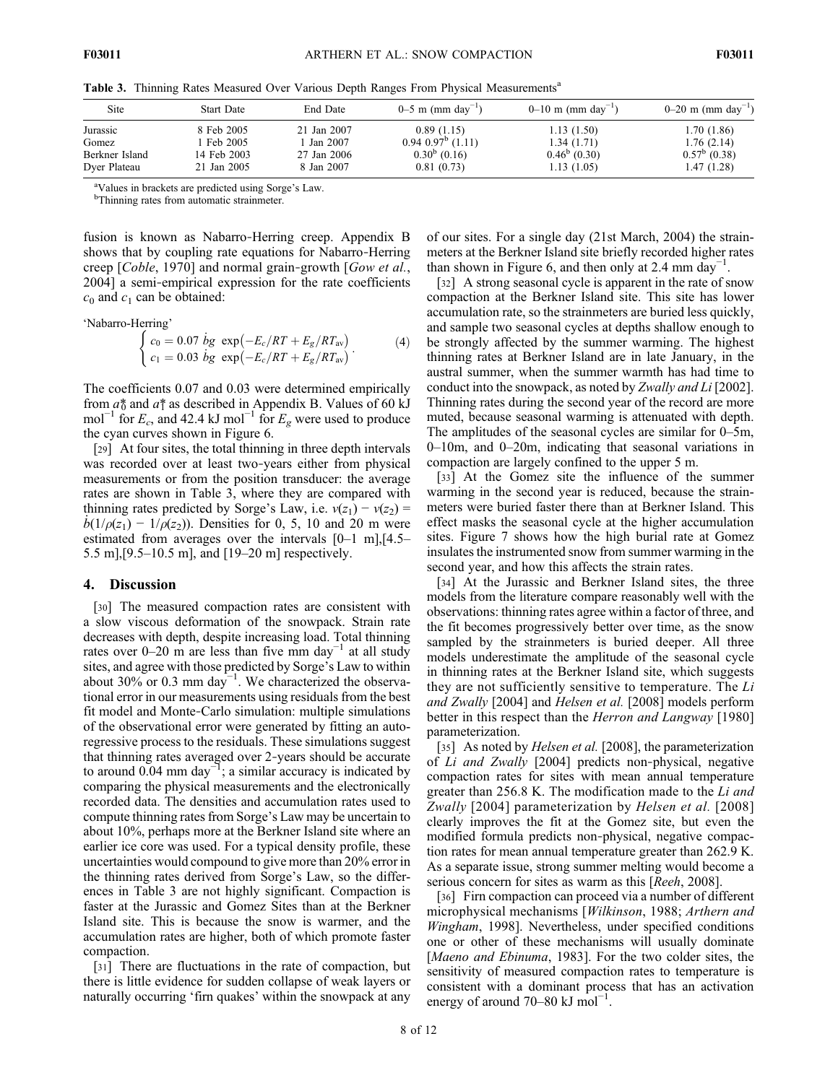Table 3. Thinning Rates Measured Over Various Depth Ranges From Physical Measurements<sup>a</sup>

| Site           | <b>Start Date</b> | End Date    | 0–5 m (mm day <sup>-1</sup> )  | $0-10$ m (mm day <sup>-1</sup> ) | 0–20 m (mm day <sup>-1</sup> ) |
|----------------|-------------------|-------------|--------------------------------|----------------------------------|--------------------------------|
| Jurassic       | 8 Feb 2005        | 21 Jan 2007 | 0.89(1.15)                     | 1.13(1.50)                       | 1.70(1.86)                     |
| Gomez          | Feb 2005          | 1 Jan 2007  | $0.94$ $0.97^{\circ}$ $(1.11)$ | 1.34(1.71)                       | 1.76(2.14)                     |
| Berkner Island | 14 Feb 2003       | 27 Jan 2006 | $0.30^b$ (0.16)                | $0.46^{\circ}$ (0.30)            | $0.57^{\rm b}$ (0.38)          |
| Dyer Plateau   | 21 Jan 2005       | 8 Jan 2007  | 0.81(0.73)                     | 1.13(1.05)                       | 1.47(1.28)                     |

<sup>a</sup>Values in brackets are predicted using Sorge's Law.

<sup>b</sup>Thinning rates from automatic strainmeter.

fusion is known as Nabarro‐Herring creep. Appendix B shows that by coupling rate equations for Nabarro‐Herring creep [*Coble*, 1970] and normal grain-growth [*Gow et al.*, 2004] a semi‐empirical expression for the rate coefficients  $c_0$  and  $c_1$  can be obtained:

'Nabarro-Herring'

$$
\begin{cases}\nc_0 = 0.07 & \text{bg } \exp\left(-\frac{E_c}{RT} + \frac{E_g}{RT_{\text{av}}}\right) \\
c_1 = 0.03 & \text{bg } \exp\left(-\frac{E_c}{RT} + \frac{E_g}{RT_{\text{av}}}\right)\n\end{cases}\n\tag{4}
$$

The coefficients 0.07 and 0.03 were determined empirically from  $a_0^*$  and  $a_1^*$  as described in Appendix B. Values of 60 kJ mol<sup>-1</sup> for  $E_c$ , and 42.4 kJ mol<sup>-1</sup> for  $E_g$  were used to produce the cyan curves shown in Figure 6.

[29] At four sites, the total thinning in three depth intervals was recorded over at least two-years either from physical measurements or from the position transducer: the average rates are shown in Table 3, where they are compared with thinning rates predicted by Sorge's Law, i.e.  $v(z_1) - v(z_2) =$  $b(1/\rho(z_1) - 1/\rho(z_2))$ . Densities for 0, 5, 10 and 20 m were estimated from averages over the intervals [0–1 m],[4.5– 5.5 m],[9.5–10.5 m], and [19–20 m] respectively.

## 4. Discussion

[30] The measured compaction rates are consistent with a slow viscous deformation of the snowpack. Strain rate decreases with depth, despite increasing load. Total thinning rates over 0–20 m are less than five mm day<sup>-1</sup> at all study sites, and agree with those predicted by Sorge's Law to within about 30% or 0.3 mm day<sup>-1</sup>. We characterized the observational error in our measurements using residuals from the best fit model and Monte‐Carlo simulation: multiple simulations of the observational error were generated by fitting an autoregressive process to the residuals. These simulations suggest that thinning rates averaged over 2‐years should be accurate to around 0.04 mm day $^{-1}$ ; a similar accuracy is indicated by comparing the physical measurements and the electronically recorded data. The densities and accumulation rates used to compute thinning rates from Sorge's Law may be uncertain to about 10%, perhaps more at the Berkner Island site where an earlier ice core was used. For a typical density profile, these uncertainties would compound to give more than 20% error in the thinning rates derived from Sorge's Law, so the differences in Table 3 are not highly significant. Compaction is faster at the Jurassic and Gomez Sites than at the Berkner Island site. This is because the snow is warmer, and the accumulation rates are higher, both of which promote faster compaction.

[31] There are fluctuations in the rate of compaction, but there is little evidence for sudden collapse of weak layers or naturally occurring 'firn quakes' within the snowpack at any

of our sites. For a single day (21st March, 2004) the strainmeters at the Berkner Island site briefly recorded higher rates than shown in Figure 6, and then only at 2.4 mm day<sup>-1</sup>.

[32] A strong seasonal cycle is apparent in the rate of snow compaction at the Berkner Island site. This site has lower accumulation rate, so the strainmeters are buried less quickly, and sample two seasonal cycles at depths shallow enough to be strongly affected by the summer warming. The highest thinning rates at Berkner Island are in late January, in the austral summer, when the summer warmth has had time to conduct into the snowpack, as noted by Zwally and Li [2002]. Thinning rates during the second year of the record are more muted, because seasonal warming is attenuated with depth. The amplitudes of the seasonal cycles are similar for 0–5m, 0–10m, and 0–20m, indicating that seasonal variations in compaction are largely confined to the upper 5 m.

[33] At the Gomez site the influence of the summer warming in the second year is reduced, because the strainmeters were buried faster there than at Berkner Island. This effect masks the seasonal cycle at the higher accumulation sites. Figure 7 shows how the high burial rate at Gomez insulates the instrumented snow from summer warming in the second year, and how this affects the strain rates.

[34] At the Jurassic and Berkner Island sites, the three models from the literature compare reasonably well with the observations: thinning rates agree within a factor of three, and the fit becomes progressively better over time, as the snow sampled by the strainmeters is buried deeper. All three models underestimate the amplitude of the seasonal cycle in thinning rates at the Berkner Island site, which suggests they are not sufficiently sensitive to temperature. The Li and Zwally [2004] and Helsen et al. [2008] models perform better in this respect than the *Herron and Langway* [1980] parameterization.

[35] As noted by *Helsen et al.* [2008], the parameterization of Li and Zwally [2004] predicts non‐physical, negative compaction rates for sites with mean annual temperature greater than 256.8 K. The modification made to the Li and Zwally [2004] parameterization by Helsen et al. [2008] clearly improves the fit at the Gomez site, but even the modified formula predicts non‐physical, negative compaction rates for mean annual temperature greater than 262.9 K. As a separate issue, strong summer melting would become a serious concern for sites as warm as this [Reeh, 2008].

[36] Firn compaction can proceed via a number of different microphysical mechanisms [Wilkinson, 1988; Arthern and Wingham, 1998]. Nevertheless, under specified conditions one or other of these mechanisms will usually dominate [Maeno and Ebinuma, 1983]. For the two colder sites, the sensitivity of measured compaction rates to temperature is consistent with a dominant process that has an activation energy of around 70–80 kJ mol<sup>-1</sup>.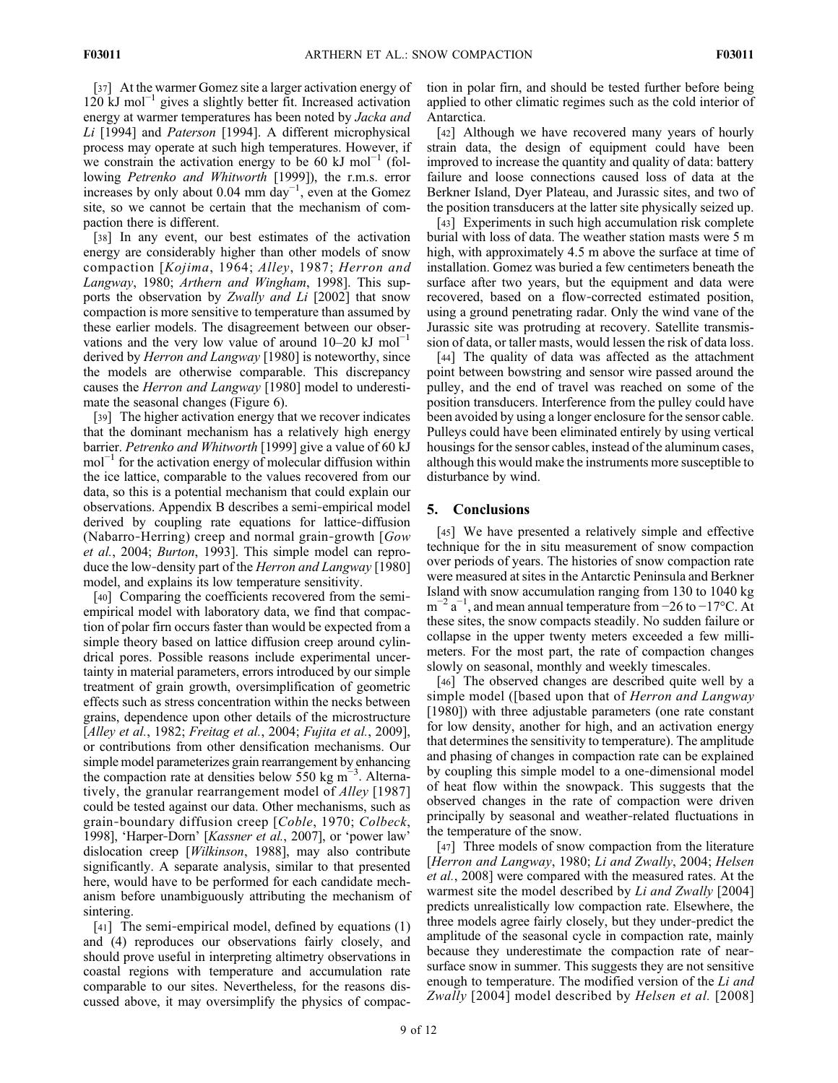[37] At the warmer Gomez site a larger activation energy of 120 kJ mol−<sup>1</sup> gives a slightly better fit. Increased activation energy at warmer temperatures has been noted by *Jacka and* Li [1994] and Paterson [1994]. A different microphysical process may operate at such high temperatures. However, if we constrain the activation energy to be 60 kJ mol<sup>-1</sup> (following Petrenko and Whitworth [1999]), the r.m.s. error increases by only about 0.04 mm day<sup>-1</sup>, even at the Gomez site, so we cannot be certain that the mechanism of compaction there is different.

[38] In any event, our best estimates of the activation energy are considerably higher than other models of snow compaction [Kojima, 1964; Alley, 1987; Herron and Langway, 1980; Arthern and Wingham, 1998]. This supports the observation by Zwally and Li [2002] that snow compaction is more sensitive to temperature than assumed by these earlier models. The disagreement between our observations and the very low value of around  $10-20$  kJ mol<sup>-1</sup> derived by *Herron and Langway* [1980] is noteworthy, since the models are otherwise comparable. This discrepancy causes the Herron and Langway [1980] model to underestimate the seasonal changes (Figure 6).

[39] The higher activation energy that we recover indicates that the dominant mechanism has a relatively high energy barrier. Petrenko and Whitworth [1999] give a value of 60 kJ mol<sup>-1</sup> for the activation energy of molecular diffusion within the ice lattice, comparable to the values recovered from our data, so this is a potential mechanism that could explain our observations. Appendix B describes a semi‐empirical model derived by coupling rate equations for lattice‐diffusion (Nabarro-Herring) creep and normal grain-growth  $Gow$ et al., 2004; Burton, 1993]. This simple model can reproduce the low-density part of the *Herron and Langway* [1980] model, and explains its low temperature sensitivity.

[40] Comparing the coefficients recovered from the semiempirical model with laboratory data, we find that compaction of polar firn occurs faster than would be expected from a simple theory based on lattice diffusion creep around cylindrical pores. Possible reasons include experimental uncertainty in material parameters, errors introduced by our simple treatment of grain growth, oversimplification of geometric effects such as stress concentration within the necks between grains, dependence upon other details of the microstructure [Alley et al., 1982; Freitag et al., 2004; Fujita et al., 2009], or contributions from other densification mechanisms. Our simple model parameterizes grain rearrangement by enhancing the compaction rate at densities below 550 kg m−<sup>3</sup> . Alternatively, the granular rearrangement model of *Alley* [1987] could be tested against our data. Other mechanisms, such as grain‐boundary diffusion creep [Coble, 1970; Colbeck, 1998], 'Harper-Dorn' [Kassner et al., 2007], or 'power law' dislocation creep [Wilkinson, 1988], may also contribute significantly. A separate analysis, similar to that presented here, would have to be performed for each candidate mechanism before unambiguously attributing the mechanism of sintering.

[41] The semi-empirical model, defined by equations (1) and (4) reproduces our observations fairly closely, and should prove useful in interpreting altimetry observations in coastal regions with temperature and accumulation rate comparable to our sites. Nevertheless, for the reasons discussed above, it may oversimplify the physics of compaction in polar firn, and should be tested further before being applied to other climatic regimes such as the cold interior of Antarctica.

[42] Although we have recovered many years of hourly strain data, the design of equipment could have been improved to increase the quantity and quality of data: battery failure and loose connections caused loss of data at the Berkner Island, Dyer Plateau, and Jurassic sites, and two of the position transducers at the latter site physically seized up.

[43] Experiments in such high accumulation risk complete burial with loss of data. The weather station masts were 5 m high, with approximately 4.5 m above the surface at time of installation. Gomez was buried a few centimeters beneath the surface after two years, but the equipment and data were recovered, based on a flow‐corrected estimated position, using a ground penetrating radar. Only the wind vane of the Jurassic site was protruding at recovery. Satellite transmission of data, or taller masts, would lessen the risk of data loss.

[44] The quality of data was affected as the attachment point between bowstring and sensor wire passed around the pulley, and the end of travel was reached on some of the position transducers. Interference from the pulley could have been avoided by using a longer enclosure for the sensor cable. Pulleys could have been eliminated entirely by using vertical housings for the sensor cables, instead of the aluminum cases, although this would make the instruments more susceptible to disturbance by wind.

## 5. Conclusions

[45] We have presented a relatively simple and effective technique for the in situ measurement of snow compaction over periods of years. The histories of snow compaction rate were measured at sites in the Antarctic Peninsula and Berkner Island with snow accumulation ranging from 130 to 1040 kg  $m^{-2} a^{-1}$ , and mean annual temperature from -26 to -17°C. At these sites, the snow compacts steadily. No sudden failure or collapse in the upper twenty meters exceeded a few millimeters. For the most part, the rate of compaction changes slowly on seasonal, monthly and weekly timescales.

[46] The observed changes are described quite well by a simple model ([based upon that of *Herron and Langway* [1980]) with three adjustable parameters (one rate constant for low density, another for high, and an activation energy that determines the sensitivity to temperature). The amplitude and phasing of changes in compaction rate can be explained by coupling this simple model to a one‐dimensional model of heat flow within the snowpack. This suggests that the observed changes in the rate of compaction were driven principally by seasonal and weather‐related fluctuations in the temperature of the snow.

[47] Three models of snow compaction from the literature [Herron and Langway, 1980; Li and Zwally, 2004; Helsen et al., 2008] were compared with the measured rates. At the warmest site the model described by Li and Zwally [2004] predicts unrealistically low compaction rate. Elsewhere, the three models agree fairly closely, but they under‐predict the amplitude of the seasonal cycle in compaction rate, mainly because they underestimate the compaction rate of nearsurface snow in summer. This suggests they are not sensitive enough to temperature. The modified version of the Li and Zwally [2004] model described by Helsen et al. [2008]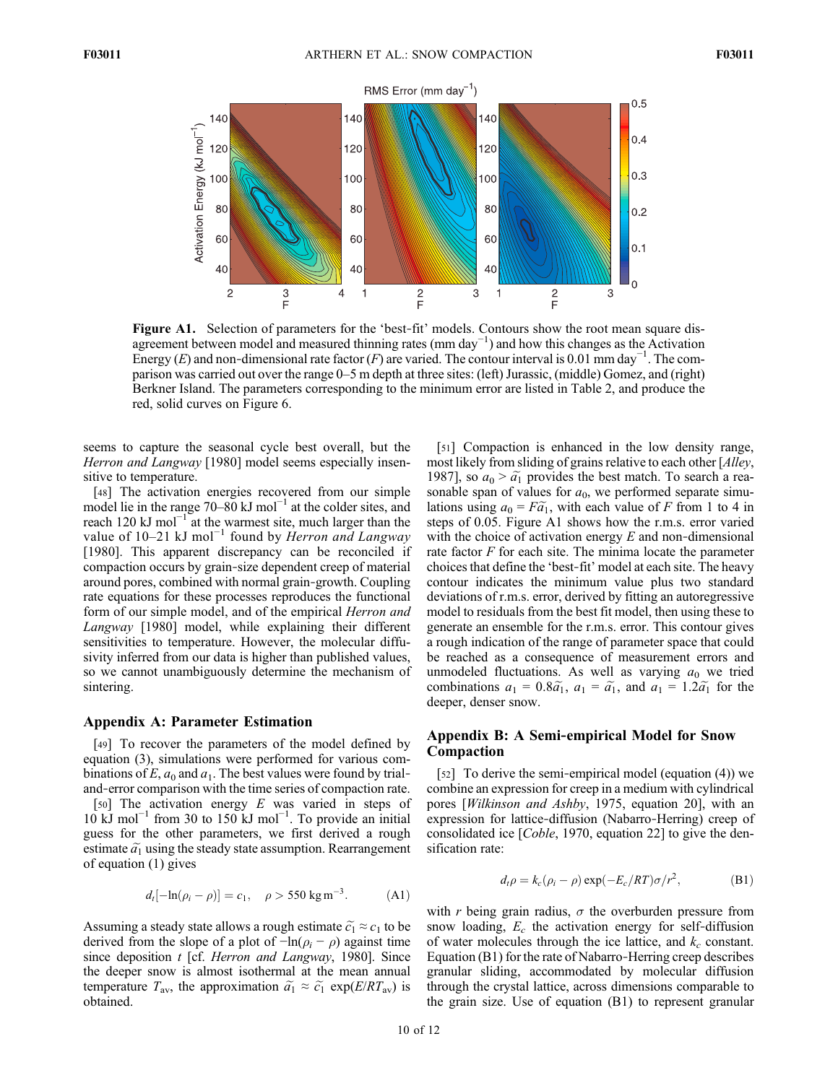

Figure A1. Selection of parameters for the 'best-fit' models. Contours show the root mean square disagreement between model and measured thinning rates (mm day−<sup>1</sup> ) and how this changes as the Activation Energy (E) and non-dimensional rate factor (F) are varied. The contour interval is 0.01 mm day<sup>-1</sup>. The comparison was carried out over the range 0–5 m depth at three sites: (left) Jurassic, (middle) Gomez, and (right) Berkner Island. The parameters corresponding to the minimum error are listed in Table 2, and produce the red, solid curves on Figure 6.

seems to capture the seasonal cycle best overall, but the Herron and Langway [1980] model seems especially insensitive to temperature.

[48] The activation energies recovered from our simple model lie in the range 70–80 kJ mol<sup>-1</sup> at the colder sites, and reach 120 kJ mol<sup>-1</sup> at the warmest site, much larger than the value of 10–21 kJ mol<sup>-1</sup> found by *Herron and Langway* [1980]. This apparent discrepancy can be reconciled if compaction occurs by grain‐size dependent creep of material around pores, combined with normal grain‐growth. Coupling rate equations for these processes reproduces the functional form of our simple model, and of the empirical *Herron and* Langway [1980] model, while explaining their different sensitivities to temperature. However, the molecular diffusivity inferred from our data is higher than published values, so we cannot unambiguously determine the mechanism of sintering.

## Appendix A: Parameter Estimation

[49] To recover the parameters of the model defined by equation (3), simulations were performed for various combinations of E,  $a_0$  and  $a_1$ . The best values were found by trial– and‐error comparison with the time series of compaction rate.

[50] The activation energy  $E$  was varied in steps of 10 kJ mol−<sup>1</sup> from 30 to 150 kJ mol−<sup>1</sup> . To provide an initial guess for the other parameters, we first derived a rough estimate  $\tilde{a_1}$  using the steady state assumption. Rearrangement of equation (1) gives

$$
d_t[-\ln(\rho_i - \rho)] = c_1, \quad \rho > 550 \text{ kg m}^{-3}.
$$
 (A1)

Assuming a steady state allows a rough estimate  $\tilde{c}_1 \approx c_1$  to be derived from the slope of a plot of  $-\ln(\rho_i - \rho)$  against time since deposition t [cf. *Herron and Langway*, 1980]. Since the deeper snow is almost isothermal at the mean annual temperature  $T_{\text{av}}$ , the approximation  $\tilde{a_1} \approx \tilde{c_1} \exp(E/RT_{\text{av}})$  is obtained.

[51] Compaction is enhanced in the low density range, most likely from sliding of grains relative to each other [Alley, 1987], so  $a_0 > \tilde{a_1}$  provides the best match. To search a reasonable span of values for  $a_0$ , we performed separate simulations using  $a_0 = F\tilde{a_1}$ , with each value of F from 1 to 4 in steps of 0.05. Figure A1 shows how the r.m.s. error varied with the choice of activation energy  $E$  and non-dimensional rate factor  $F$  for each site. The minima locate the parameter choices that define the 'best‐fit' model at each site. The heavy contour indicates the minimum value plus two standard deviations of r.m.s. error, derived by fitting an autoregressive model to residuals from the best fit model, then using these to generate an ensemble for the r.m.s. error. This contour gives a rough indication of the range of parameter space that could be reached as a consequence of measurement errors and unmodeled fluctuations. As well as varying  $a_0$  we tried combinations  $a_1 = 0.8\tilde{a_1}$ ,  $a_1 = \tilde{a_1}$ , and  $a_1 = 1.2\tilde{a_1}$  for the deeper, denser snow.

# Appendix B: A Semi‐empirical Model for Snow Compaction

[52] To derive the semi-empirical model (equation (4)) we combine an expression for creep in a medium with cylindrical pores [Wilkinson and Ashby, 1975, equation 20], with an expression for lattice‐diffusion (Nabarro‐Herring) creep of consolidated ice [Coble, 1970, equation 22] to give the densification rate:

$$
d_t \rho = k_c (\rho_i - \rho) \exp(-E_c/RT) \sigma/r^2, \tag{B1}
$$

with r being grain radius,  $\sigma$  the overburden pressure from snow loading,  $E_c$  the activation energy for self-diffusion of water molecules through the ice lattice, and  $k_c$  constant. Equation (B1) for the rate of Nabarro‐Herring creep describes granular sliding, accommodated by molecular diffusion through the crystal lattice, across dimensions comparable to the grain size. Use of equation (B1) to represent granular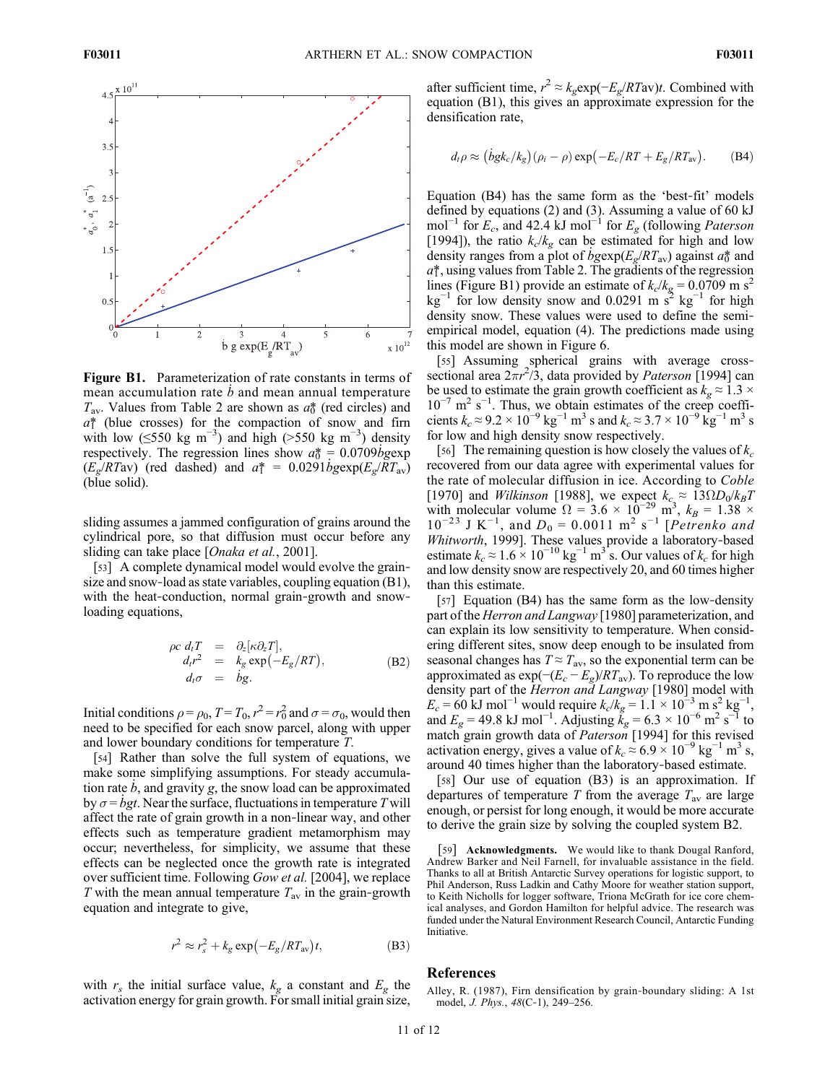

Figure B1. Parameterization of rate constants in terms of mean accumulation rate  $\dot{b}$  and mean annual temperature  $T_{av}$ . Values from Table 2 are shown as  $a_0^*$  (red circles) and  $a^*$  (blue crosses) for the compaction of snow and firm with low ( $\leq$ 550 kg m<sup>-3</sup>) and high (>550 kg m<sup>-3</sup>) density respectively. The regression lines show  $a_0^* = 0.0709 \text{bgexp}$  $(E_g/RTav)$  (red dashed) and  $a^* = 0.0291 \dot{b} g exp(E_g/RTav)$ (blue solid).

sliding assumes a jammed configuration of grains around the cylindrical pore, so that diffusion must occur before any sliding can take place [Onaka et al., 2001].

[53] A complete dynamical model would evolve the grainsize and snow-load as state variables, coupling equation (B1), with the heat-conduction, normal grain-growth and snowloading equations,

$$
\rho c \, d_t T = \partial_z [\kappa \partial_z T], \nd_t r^2 = k_g \exp(-E_g/RT), \nd_t \sigma = \dot{b} g.
$$
\n(B2)

Initial conditions  $\rho = \rho_0$ ,  $T = T_0$ ,  $r^2 = r_0^2$  and  $\sigma = \sigma_0$ , would then need to be specified for each snow parcel, along with upper and lower boundary conditions for temperature T.

[54] Rather than solve the full system of equations, we make some simplifying assumptions. For steady accumulation rate  $\dot{b}$ , and gravity g, the snow load can be approximated by  $\sigma = \dot{b}gt$ . Near the surface, fluctuations in temperature T will affect the rate of grain growth in a non‐linear way, and other effects such as temperature gradient metamorphism may occur; nevertheless, for simplicity, we assume that these effects can be neglected once the growth rate is integrated over sufficient time. Following Gow et al. [2004], we replace T with the mean annual temperature  $T_{\text{av}}$  in the grain-growth equation and integrate to give,

$$
r^2 \approx r_s^2 + k_g \exp(-E_g/RT_{\rm av})t,
$$
 (B3)

with  $r_s$  the initial surface value,  $k_g$  a constant and  $E_g$  the activation energy for grain growth. For small initial grain size, after sufficient time,  $r^2 \approx k_g \exp(-E_g / RT \text{av})t$ . Combined with equation (B1), this gives an approximate expression for the densification rate,

$$
d_t \rho \approx (bgk_c/k_g)(\rho_i - \rho) \exp(-E_c/RT + E_g/RT_{\rm av}). \tag{B4}
$$

Equation (B4) has the same form as the 'best‐fit' models defined by equations (2) and (3). Assuming a value of 60 kJ mol<sup>-1</sup> for  $E_c$ , and 42.4 kJ mol<sup>-1</sup> for  $E_g$  (following *Paterson* [1994]), the ratio  $k_c/k_g$  can be estimated for high and low density ranges from a plot of  $b$ gexp( $E_g/RT_{av}$ ) against  $a\ddot{\delta}$  and  $a_1^*$ , using values from Table 2. The gradients of the regression lines (Figure B1) provide an estimate of  $k_c/k_g = 0.0709$  m s<sup>2</sup> kg<sup>-1</sup> for low density snow and 0.0291 m s<sup>2</sup> kg<sup>-1</sup> for high density snow. These values were used to define the semiempirical model, equation (4). The predictions made using this model are shown in Figure 6.

[55] Assuming spherical grains with average crosssectional area  $2\pi r^2/3$ , data provided by Paterson [1994] can be used to estimate the grain growth coefficient as  $k_g \approx 1.3 \times$  $10^{-7}$  m<sup>2</sup> s<sup>-1</sup>. Thus, we obtain estimates of the creep coefficients  $k_c \approx 9.2 \times 10^{-9} \text{ kg}^{-1} \text{ m}^3 \text{ s}$  and  $k_c \approx 3.7 \times 10^{-9} \text{ kg}^{-1} \text{ m}^3 \text{ s}$ for low and high density snow respectively.

[56] The remaining question is how closely the values of  $k_c$ recovered from our data agree with experimental values for the rate of molecular diffusion in ice. According to Coble [1970] and *Wilkinson* [1988], we expect  $k_c \approx 13 \Omega D_0/k_B T$ with molecular volume  $\Omega = 3.6 \times 10^{-29}$  m<sup>3</sup>,  $k_B = 1.38 \times 10^{-12}$  $10^{-23}$  J K<sup>-1</sup>, and  $D_0 = 0.0011$  m<sup>2</sup> s<sup>-1</sup> [Petrenko and Whitworth, 1999]. These values provide a laboratory-based estimate  $k_c \approx 1.6 \times 10^{-10} \text{ kg}^{-1} \text{ m}^3$  s. Our values of  $k_c$  for high and low density snow are respectively 20, and 60 times higher than this estimate.

[57] Equation (B4) has the same form as the low-density part of the Herron and Langway [1980] parameterization, and can explain its low sensitivity to temperature. When considering different sites, snow deep enough to be insulated from seasonal changes has  $T \approx T_{\text{av}}$ , so the exponential term can be approximated as  $\exp(-(E_c - E_g)/RT_{av})$ . To reproduce the low density part of the Herron and Langway [1980] model with  $E_c = 60 \text{ kJ mol}^{-1}$  would require  $k_c/k_g = 1.1 \times 10^{-3} \text{ m s}^2 \text{ kg}^{-1}$ , and  $E_g = 49.8 \text{ kJ mol}^{-1}$ . Adjusting  $\tilde{k}_g = 6.3 \times 10^{-6} \text{ m}^2 \text{ s}^{-1}$  to match grain growth data of Paterson [1994] for this revised activation energy, gives a value of  $k_c \approx 6.9 \times 10^{-9}$  kg<sup>-1</sup> m<sup>3</sup> s, around 40 times higher than the laboratory‐based estimate.

[58] Our use of equation (B3) is an approximation. If departures of temperature T from the average  $T_{av}$  are large enough, or persist for long enough, it would be more accurate to derive the grain size by solving the coupled system B2.

[59] Acknowledgments. We would like to thank Dougal Ranford, Andrew Barker and Neil Farnell, for invaluable assistance in the field. Thanks to all at British Antarctic Survey operations for logistic support, to Phil Anderson, Russ Ladkin and Cathy Moore for weather station support, to Keith Nicholls for logger software, Triona McGrath for ice core chemical analyses, and Gordon Hamilton for helpful advice. The research was funded under the Natural Environment Research Council, Antarctic Funding Initiative.

## References

Alley, R. (1987), Firn densification by grain‐boundary sliding: A 1st model, J. Phys., 48(C‐1), 249–256.